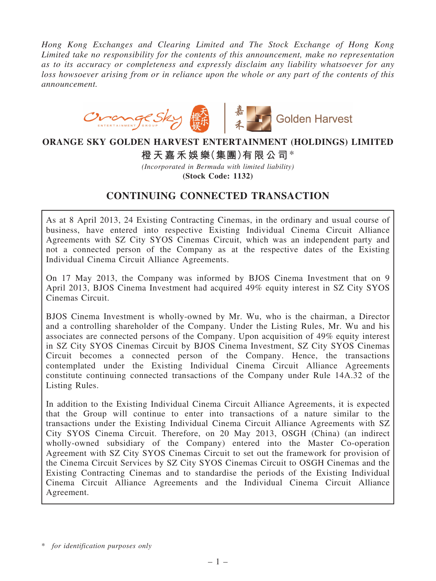*Hong Kong Exchanges and Clearing Limited and The Stock Exchange of Hong Kong Limited take no responsibility for the contents of this announcement, make no representation as to its accuracy or completeness and expressly disclaim any liability whatsoever for any loss howsoever arising from or in reliance upon the whole or any part of the contents of this announcement.*



## ORANGE SKY GOLDEN HARVEST ENTERTAINMENT (HOLDINGS) LIMITED

橙天嘉禾娛樂(集團)有限公司\*

*(Incorporated in Bermuda with limited liability)*

(Stock Code: 1132)

# CONTINUING CONNECTED TRANSACTION

As at 8 April 2013, 24 Existing Contracting Cinemas, in the ordinary and usual course of business, have entered into respective Existing Individual Cinema Circuit Alliance Agreements with SZ City SYOS Cinemas Circuit, which was an independent party and not a connected person of the Company as at the respective dates of the Existing Individual Cinema Circuit Alliance Agreements.

On 17 May 2013, the Company was informed by BJOS Cinema Investment that on 9 April 2013, BJOS Cinema Investment had acquired 49% equity interest in SZ City SYOS Cinemas Circuit.

BJOS Cinema Investment is wholly-owned by Mr. Wu, who is the chairman, a Director and a controlling shareholder of the Company. Under the Listing Rules, Mr. Wu and his associates are connected persons of the Company. Upon acquisition of 49% equity interest in SZ City SYOS Cinemas Circuit by BJOS Cinema Investment, SZ City SYOS Cinemas Circuit becomes a connected person of the Company. Hence, the transactions contemplated under the Existing Individual Cinema Circuit Alliance Agreements constitute continuing connected transactions of the Company under Rule 14A.32 of the Listing Rules.

In addition to the Existing Individual Cinema Circuit Alliance Agreements, it is expected that the Group will continue to enter into transactions of a nature similar to the transactions under the Existing Individual Cinema Circuit Alliance Agreements with SZ City SYOS Cinema Circuit. Therefore, on 20 May 2013, OSGH (China) (an indirect wholly-owned subsidiary of the Company) entered into the Master Co-operation Agreement with SZ City SYOS Cinemas Circuit to set out the framework for provision of the Cinema Circuit Services by SZ City SYOS Cinemas Circuit to OSGH Cinemas and the Existing Contracting Cinemas and to standardise the periods of the Existing Individual Cinema Circuit Alliance Agreements and the Individual Cinema Circuit Alliance Agreement.

<sup>\*</sup> *for identification purposes only*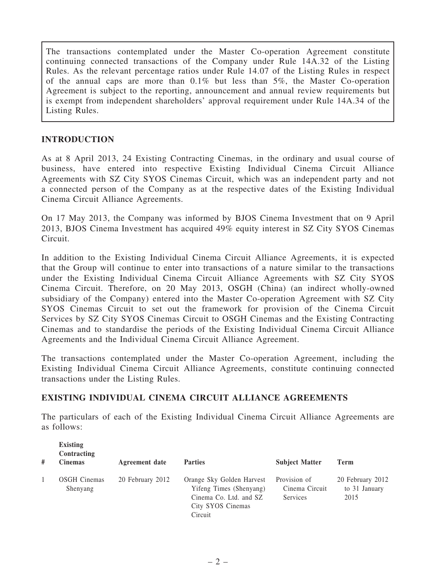The transactions contemplated under the Master Co-operation Agreement constitute continuing connected transactions of the Company under Rule 14A.32 of the Listing Rules. As the relevant percentage ratios under Rule 14.07 of the Listing Rules in respect of the annual caps are more than 0.1% but less than 5%, the Master Co-operation Agreement is subject to the reporting, announcement and annual review requirements but is exempt from independent shareholders' approval requirement under Rule 14A.34 of the Listing Rules.

## INTRODUCTION

As at 8 April 2013, 24 Existing Contracting Cinemas, in the ordinary and usual course of business, have entered into respective Existing Individual Cinema Circuit Alliance Agreements with SZ City SYOS Cinemas Circuit, which was an independent party and not a connected person of the Company as at the respective dates of the Existing Individual Cinema Circuit Alliance Agreements.

On 17 May 2013, the Company was informed by BJOS Cinema Investment that on 9 April 2013, BJOS Cinema Investment has acquired 49% equity interest in SZ City SYOS Cinemas Circuit.

In addition to the Existing Individual Cinema Circuit Alliance Agreements, it is expected that the Group will continue to enter into transactions of a nature similar to the transactions under the Existing Individual Cinema Circuit Alliance Agreements with SZ City SYOS Cinema Circuit. Therefore, on 20 May 2013, OSGH (China) (an indirect wholly-owned subsidiary of the Company) entered into the Master Co-operation Agreement with SZ City SYOS Cinemas Circuit to set out the framework for provision of the Cinema Circuit Services by SZ City SYOS Cinemas Circuit to OSGH Cinemas and the Existing Contracting Cinemas and to standardise the periods of the Existing Individual Cinema Circuit Alliance Agreements and the Individual Cinema Circuit Alliance Agreement.

The transactions contemplated under the Master Co-operation Agreement, including the Existing Individual Cinema Circuit Alliance Agreements, constitute continuing connected transactions under the Listing Rules.

## EXISTING INDIVIDUAL CINEMA CIRCUIT ALLIANCE AGREEMENTS

The particulars of each of the Existing Individual Cinema Circuit Alliance Agreements are as follows:

| # | <b>Existing</b><br>Contracting<br><b>Cinemas</b> | Agreement date   | <b>Parties</b>                                                                                                 | <b>Subject Matter</b>                      | Term                                      |
|---|--------------------------------------------------|------------------|----------------------------------------------------------------------------------------------------------------|--------------------------------------------|-------------------------------------------|
|   | <b>OSGH</b> Cinemas<br>Shenyang                  | 20 February 2012 | Orange Sky Golden Harvest<br>Yifeng Times (Shenyang)<br>Cinema Co. Ltd. and SZ<br>City SYOS Cinemas<br>Circuit | Provision of<br>Cinema Circuit<br>Services | 20 February 2012<br>to 31 January<br>2015 |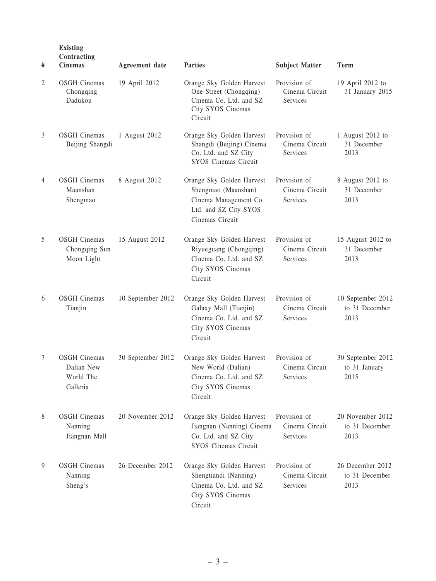| #              | <b>Existing</b><br>Contracting<br><b>Cinemas</b>           | <b>Agreement</b> date | <b>Parties</b>                                                                                                        | <b>Subject Matter</b>                      | <b>Term</b>                                 |
|----------------|------------------------------------------------------------|-----------------------|-----------------------------------------------------------------------------------------------------------------------|--------------------------------------------|---------------------------------------------|
| 2              | <b>OSGH</b> Cinemas<br>Chongqing<br>Dadukou                | 19 April 2012         | Orange Sky Golden Harvest<br>One Street (Chongqing)<br>Cinema Co. Ltd. and SZ<br>City SYOS Cinemas<br>Circuit         | Provision of<br>Cinema Circuit<br>Services | 19 April 2012 to<br>31 January 2015         |
| $\mathfrak{Z}$ | <b>OSGH</b> Cinemas<br>Beijing Shangdi                     | 1 August 2012         | Orange Sky Golden Harvest<br>Shangdi (Beijing) Cinema<br>Co. Ltd. and SZ City<br><b>SYOS Cinemas Circuit</b>          | Provision of<br>Cinema Circuit<br>Services | 1 August 2012 to<br>31 December<br>2013     |
| 4              | <b>OSGH</b> Cinemas<br>Maanshan<br>Shengmao                | 8 August 2012         | Orange Sky Golden Harvest<br>Shengmao (Maanshan)<br>Cinema Management Co.<br>Ltd. and SZ City SYOS<br>Cinemas Circuit | Provision of<br>Cinema Circuit<br>Services | 8 August 2012 to<br>31 December<br>2013     |
| 5              | <b>OSGH</b> Cinemas<br>Chongqing Sun<br>Moon Light         | 15 August 2012        | Orange Sky Golden Harvest<br>Riyueguang (Chongqing)<br>Cinema Co. Ltd. and SZ<br>City SYOS Cinemas<br>Circuit         | Provision of<br>Cinema Circuit<br>Services | 15 August 2012 to<br>31 December<br>2013    |
| 6              | <b>OSGH</b> Cinemas<br>Tianjin                             | 10 September 2012     | Orange Sky Golden Harvest<br>Galaxy Mall (Tianjin)<br>Cinema Co. Ltd. and SZ<br>City SYOS Cinemas<br>Circuit          | Provision of<br>Cinema Circuit<br>Services | 10 September 2012<br>to 31 December<br>2013 |
| 7              | <b>OSGH</b> Cinemas<br>Dalian New<br>World The<br>Galleria | 30 September 2012     | Orange Sky Golden Harvest<br>New World (Dalian)<br>Cinema Co. Ltd. and SZ<br>City SYOS Cinemas<br>Circuit             | Provision of<br>Cinema Circuit<br>Services | 30 September 2012<br>to 31 January<br>2015  |
| 8              | <b>OSGH</b> Cinemas<br>Nanning<br>Jiangnan Mall            | 20 November 2012      | Orange Sky Golden Harvest<br>Jiangnan (Nanning) Cinema<br>Co. Ltd. and SZ City<br><b>SYOS Cinemas Circuit</b>         | Provision of<br>Cinema Circuit<br>Services | 20 November 2012<br>to 31 December<br>2013  |
| 9              | <b>OSGH</b> Cinemas<br>Nanning<br>Sheng's                  | 26 December 2012      | Orange Sky Golden Harvest<br>Shengtiandi (Nanning)<br>Cinema Co. Ltd. and SZ<br>City SYOS Cinemas<br>Circuit          | Provision of<br>Cinema Circuit<br>Services | 26 December 2012<br>to 31 December<br>2013  |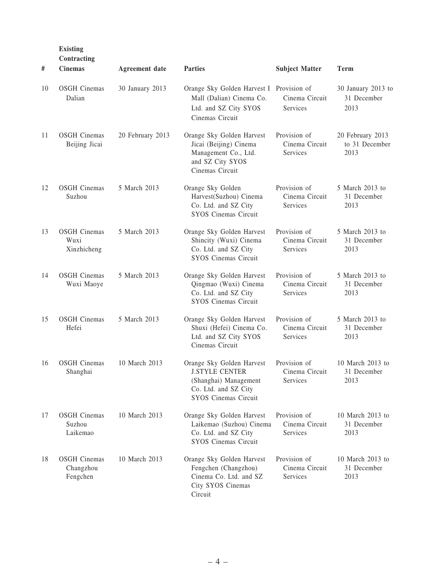Existing

| #  | Contracting<br><b>Cinemas</b>                | <b>Agreement</b> date | <b>Parties</b>                                                                                                                     | <b>Subject Matter</b>                      | <b>Term</b>                                |
|----|----------------------------------------------|-----------------------|------------------------------------------------------------------------------------------------------------------------------------|--------------------------------------------|--------------------------------------------|
| 10 | <b>OSGH</b> Cinemas<br>Dalian                | 30 January 2013       | Orange Sky Golden Harvest I Provision of<br>Mall (Dalian) Cinema Co.<br>Ltd. and SZ City SYOS<br>Cinemas Circuit                   | Cinema Circuit<br>Services                 | 30 January 2013 to<br>31 December<br>2013  |
| 11 | <b>OSGH</b> Cinemas<br>Beijing Jicai         | 20 February 2013      | Orange Sky Golden Harvest<br>Jicai (Beijing) Cinema<br>Management Co., Ltd.<br>and SZ City SYOS<br>Cinemas Circuit                 | Provision of<br>Cinema Circuit<br>Services | 20 February 2013<br>to 31 December<br>2013 |
| 12 | <b>OSGH</b> Cinemas<br>Suzhou                | 5 March 2013          | Orange Sky Golden<br>Harvest(Suzhou) Cinema<br>Co. Ltd. and SZ City<br><b>SYOS Cinemas Circuit</b>                                 | Provision of<br>Cinema Circuit<br>Services | 5 March 2013 to<br>31 December<br>2013     |
| 13 | <b>OSGH</b> Cinemas<br>Wuxi<br>Xinzhicheng   | 5 March 2013          | Orange Sky Golden Harvest<br>Shincity (Wuxi) Cinema<br>Co. Ltd. and SZ City<br>SYOS Cinemas Circuit                                | Provision of<br>Cinema Circuit<br>Services | 5 March 2013 to<br>31 December<br>2013     |
| 14 | <b>OSGH</b> Cinemas<br>Wuxi Maoye            | 5 March 2013          | Orange Sky Golden Harvest<br>Qingmao (Wuxi) Cinema<br>Co. Ltd. and SZ City<br><b>SYOS Cinemas Circuit</b>                          | Provision of<br>Cinema Circuit<br>Services | 5 March 2013 to<br>31 December<br>2013     |
| 15 | <b>OSGH</b> Cinemas<br>Hefei                 | 5 March 2013          | Orange Sky Golden Harvest<br>Shuxi (Hefei) Cinema Co.<br>Ltd. and SZ City SYOS<br>Cinemas Circuit                                  | Provision of<br>Cinema Circuit<br>Services | 5 March 2013 to<br>31 December<br>2013     |
| 16 | <b>OSGH</b> Cinemas<br>Shanghai              | 10 March 2013         | Orange Sky Golden Harvest<br><b>J.STYLE CENTER</b><br>(Shanghai) Management<br>Co. Ltd. and SZ City<br><b>SYOS Cinemas Circuit</b> | Provision of<br>Cinema Circuit<br>Services | 10 March 2013 to<br>31 December<br>2013    |
| 17 | <b>OSGH</b> Cinemas<br>Suzhou<br>Laikemao    | 10 March 2013         | Orange Sky Golden Harvest<br>Laikemao (Suzhou) Cinema<br>Co. Ltd. and SZ City<br>SYOS Cinemas Circuit                              | Provision of<br>Cinema Circuit<br>Services | 10 March 2013 to<br>31 December<br>2013    |
| 18 | <b>OSGH</b> Cinemas<br>Changzhou<br>Fengchen | 10 March 2013         | Orange Sky Golden Harvest<br>Fengchen (Changzhou)<br>Cinema Co. Ltd. and SZ<br>City SYOS Cinemas<br>Circuit                        | Provision of<br>Cinema Circuit<br>Services | 10 March 2013 to<br>31 December<br>2013    |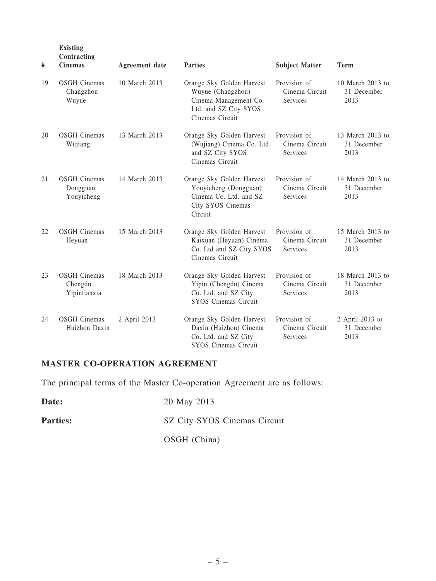| #   | <b>Existing</b><br>Contracting<br><b>Cinemas</b> | <b>Agreement</b> date | <b>Parties</b>                                                                                                      | <b>Subject Matter</b>                      | <b>Term</b>                             |
|-----|--------------------------------------------------|-----------------------|---------------------------------------------------------------------------------------------------------------------|--------------------------------------------|-----------------------------------------|
| 19  | <b>OSGH</b> Cinemas<br>Changzhou<br>Wuyue        | 10 March 2013         | Orange Sky Golden Harvest<br>Wuyue (Changzhou)<br>Cinema Management Co.<br>Ltd. and SZ City SYOS<br>Cinemas Circuit | Provision of<br>Cinema Circuit<br>Services | 10 March 2013 to<br>31 December<br>2013 |
| 20  | <b>OSGH</b> Cinemas<br>Wujiang                   | 13 March 2013         | Orange Sky Golden Harvest<br>(Wujiang) Cinema Co. Ltd.<br>and SZ City SYOS<br>Cinemas Circuit                       | Provision of<br>Cinema Circuit<br>Services | 13 March 2013 to<br>31 December<br>2013 |
| 21  | <b>OSGH</b> Cinemas<br>Dongguan<br>Youyicheng    | 14 March 2013         | Orange Sky Golden Harvest<br>Youyicheng (Dongguan)<br>Cinema Co. Ltd. and SZ<br>City SYOS Cinemas<br>Circuit        | Provision of<br>Cinema Circuit<br>Services | 14 March 2013 to<br>31 December<br>2013 |
| 22. | <b>OSGH</b> Cinemas<br>Heyuan                    | 15 March 2013         | Orange Sky Golden Harvest<br>Kaixuan (Heyuan) Cinema<br>Co. Ltd and SZ City SYOS<br>Cinemas Circuit                 | Provision of<br>Cinema Circuit<br>Services | 15 March 2013 to<br>31 December<br>2013 |
| 23  | <b>OSGH</b> Cinemas<br>Chengdu<br>Yipintianxia   | 18 March 2013         | Orange Sky Golden Harvest<br>Yipin (Chengdu) Cinema<br>Co. Ltd. and SZ City<br><b>SYOS Cinemas Circuit</b>          | Provision of<br>Cinema Circuit<br>Services | 18 March 2013 to<br>31 December<br>2013 |
| 24  | <b>OSGH</b> Cinemas<br>Huizhou Daxin             | 2 April 2013          | Orange Sky Golden Harvest<br>Daxin (Huizhou) Cinema<br>Co. Ltd. and SZ City<br><b>SYOS Cinemas Circuit</b>          | Provision of<br>Cinema Circuit<br>Services | 2 April 2013 to<br>31 December<br>2013  |

## MASTER CO-OPERATION AGREEMENT

The principal terms of the Master Co-operation Agreement are as follows:

| Date:           | 20 May 2013                  |
|-----------------|------------------------------|
| <b>Parties:</b> | SZ City SYOS Cinemas Circuit |
|                 | OSGH (China)                 |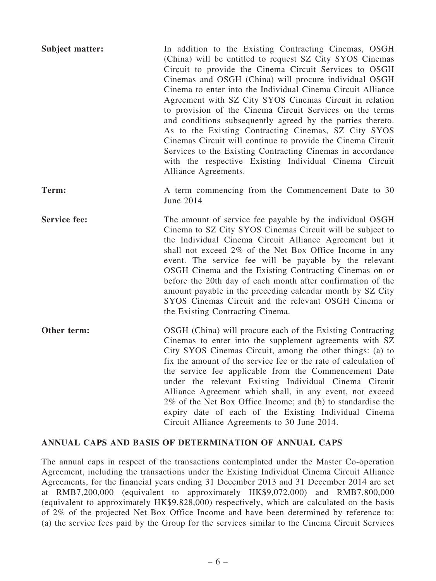| <b>Subject matter:</b> | In addition to the Existing Contracting Cinemas, OSGH<br>(China) will be entitled to request SZ City SYOS Cinemas<br>Circuit to provide the Cinema Circuit Services to OSGH<br>Cinemas and OSGH (China) will procure individual OSGH<br>Cinema to enter into the Individual Cinema Circuit Alliance<br>Agreement with SZ City SYOS Cinemas Circuit in relation<br>to provision of the Cinema Circuit Services on the terms<br>and conditions subsequently agreed by the parties thereto.<br>As to the Existing Contracting Cinemas, SZ City SYOS<br>Cinemas Circuit will continue to provide the Cinema Circuit<br>Services to the Existing Contracting Cinemas in accordance<br>with the respective Existing Individual Cinema Circuit<br>Alliance Agreements. |
|------------------------|-----------------------------------------------------------------------------------------------------------------------------------------------------------------------------------------------------------------------------------------------------------------------------------------------------------------------------------------------------------------------------------------------------------------------------------------------------------------------------------------------------------------------------------------------------------------------------------------------------------------------------------------------------------------------------------------------------------------------------------------------------------------|
| Term:                  | A term commencing from the Commencement Date to 30<br>June 2014                                                                                                                                                                                                                                                                                                                                                                                                                                                                                                                                                                                                                                                                                                 |
| <b>Service fee:</b>    | The amount of service fee payable by the individual OSGH<br>Cinema to SZ City SYOS Cinemas Circuit will be subject to<br>the Individual Cinema Circuit Alliance Agreement but it<br>shall not exceed 2% of the Net Box Office Income in any<br>event. The service fee will be payable by the relevant<br>OSGH Cinema and the Existing Contracting Cinemas on or<br>before the 20th day of each month after confirmation of the<br>amount payable in the preceding calendar month by SZ City<br>SYOS Cinemas Circuit and the relevant OSGH Cinema or<br>the Existing Contracting Cinema.                                                                                                                                                                         |
| Other term:            | OSGH (China) will procure each of the Existing Contracting<br>Cinemas to enter into the supplement agreements with SZ<br>City SYOS Cinemas Circuit, among the other things: (a) to<br>fix the amount of the service fee or the rate of calculation of<br>the service fee applicable from the Commencement Date<br>under the relevant Existing Individual Cinema Circuit<br>Alliance Agreement which shall, in any event, not exceed<br>2% of the Net Box Office Income; and (b) to standardise the<br>expiry date of each of the Existing Individual Cinema<br>Circuit Alliance Agreements to 30 June 2014.                                                                                                                                                     |

## ANNUAL CAPS AND BASIS OF DETERMINATION OF ANNUAL CAPS

The annual caps in respect of the transactions contemplated under the Master Co-operation Agreement, including the transactions under the Existing Individual Cinema Circuit Alliance Agreements, for the financial years ending 31 December 2013 and 31 December 2014 are set at RMB7,200,000 (equivalent to approximately HK\$9,072,000) and RMB7,800,000 (equivalent to approximately HK\$9,828,000) respectively, which are calculated on the basis of 2% of the projected Net Box Office Income and have been determined by reference to: (a) the service fees paid by the Group for the services similar to the Cinema Circuit Services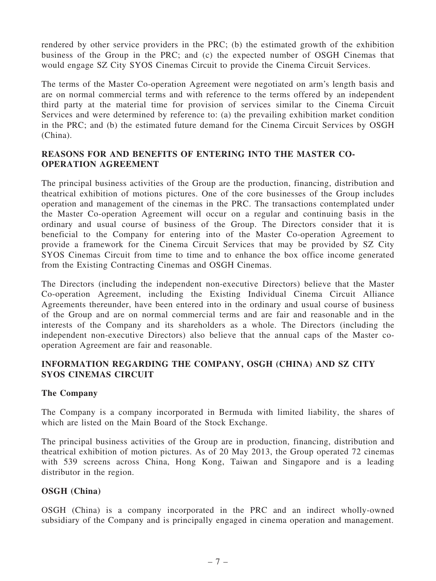rendered by other service providers in the PRC; (b) the estimated growth of the exhibition business of the Group in the PRC; and (c) the expected number of OSGH Cinemas that would engage SZ City SYOS Cinemas Circuit to provide the Cinema Circuit Services.

The terms of the Master Co-operation Agreement were negotiated on arm's length basis and are on normal commercial terms and with reference to the terms offered by an independent third party at the material time for provision of services similar to the Cinema Circuit Services and were determined by reference to: (a) the prevailing exhibition market condition in the PRC; and (b) the estimated future demand for the Cinema Circuit Services by OSGH (China).

## REASONS FOR AND BENEFITS OF ENTERING INTO THE MASTER CO-OPERATION AGREEMENT

The principal business activities of the Group are the production, financing, distribution and theatrical exhibition of motions pictures. One of the core businesses of the Group includes operation and management of the cinemas in the PRC. The transactions contemplated under the Master Co-operation Agreement will occur on a regular and continuing basis in the ordinary and usual course of business of the Group. The Directors consider that it is beneficial to the Company for entering into of the Master Co-operation Agreement to provide a framework for the Cinema Circuit Services that may be provided by SZ City SYOS Cinemas Circuit from time to time and to enhance the box office income generated from the Existing Contracting Cinemas and OSGH Cinemas.

The Directors (including the independent non-executive Directors) believe that the Master Co-operation Agreement, including the Existing Individual Cinema Circuit Alliance Agreements thereunder, have been entered into in the ordinary and usual course of business of the Group and are on normal commercial terms and are fair and reasonable and in the interests of the Company and its shareholders as a whole. The Directors (including the independent non-executive Directors) also believe that the annual caps of the Master cooperation Agreement are fair and reasonable.

## INFORMATION REGARDING THE COMPANY, OSGH (CHINA) AND SZ CITY SYOS CINEMAS CIRCUIT

## The Company

The Company is a company incorporated in Bermuda with limited liability, the shares of which are listed on the Main Board of the Stock Exchange.

The principal business activities of the Group are in production, financing, distribution and theatrical exhibition of motion pictures. As of 20 May 2013, the Group operated 72 cinemas with 539 screens across China, Hong Kong, Taiwan and Singapore and is a leading distributor in the region.

## OSGH (China)

OSGH (China) is a company incorporated in the PRC and an indirect wholly-owned subsidiary of the Company and is principally engaged in cinema operation and management.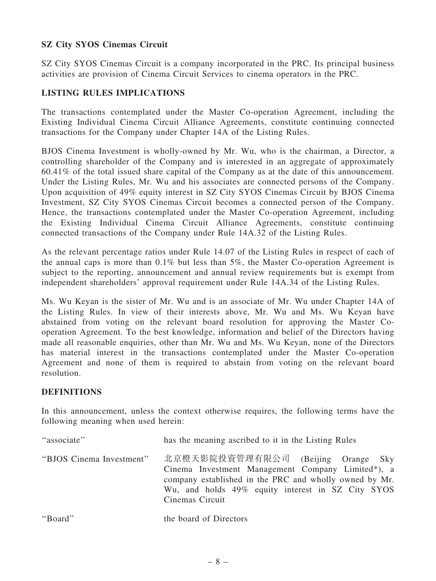## SZ City SYOS Cinemas Circuit

SZ City SYOS Cinemas Circuit is a company incorporated in the PRC. Its principal business activities are provision of Cinema Circuit Services to cinema operators in the PRC.

## LISTING RULES IMPLICATIONS

The transactions contemplated under the Master Co-operation Agreement, including the Existing Individual Cinema Circuit Alliance Agreements, constitute continuing connected transactions for the Company under Chapter 14A of the Listing Rules.

BJOS Cinema Investment is wholly-owned by Mr. Wu, who is the chairman, a Director, a controlling shareholder of the Company and is interested in an aggregate of approximately 60.41% of the total issued share capital of the Company as at the date of this announcement. Under the Listing Rules, Mr. Wu and his associates are connected persons of the Company. Upon acquisition of 49% equity interest in SZ City SYOS Cinemas Circuit by BJOS Cinema Investment, SZ City SYOS Cinemas Circuit becomes a connected person of the Company. Hence, the transactions contemplated under the Master Co-operation Agreement, including the Existing Individual Cinema Circuit Alliance Agreements, constitute continuing connected transactions of the Company under Rule 14A.32 of the Listing Rules.

As the relevant percentage ratios under Rule 14.07 of the Listing Rules in respect of each of the annual caps is more than 0.1% but less than 5%, the Master Co-operation Agreement is subject to the reporting, announcement and annual review requirements but is exempt from independent shareholders' approval requirement under Rule 14A.34 of the Listing Rules.

Ms. Wu Keyan is the sister of Mr. Wu and is an associate of Mr. Wu under Chapter 14A of the Listing Rules. In view of their interests above, Mr. Wu and Ms. Wu Keyan have abstained from voting on the relevant board resolution for approving the Master Cooperation Agreement. To the best knowledge, information and belief of the Directors having made all reasonable enquiries, other than Mr. Wu and Ms. Wu Keyan, none of the Directors has material interest in the transactions contemplated under the Master Co-operation Agreement and none of them is required to abstain from voting on the relevant board resolution.

#### DEFINITIONS

In this announcement, unless the context otherwise requires, the following terms have the following meaning when used herein:

| "associate"              | has the meaning ascribed to it in the Listing Rules                                                                                                                                                                       |
|--------------------------|---------------------------------------------------------------------------------------------------------------------------------------------------------------------------------------------------------------------------|
| "BJOS Cinema Investment" | 北京橙天影院投資管理有限公司 (Beijing Orange Sky<br>Cinema Investment Management Company Limited*), a<br>company established in the PRC and wholly owned by Mr.<br>Wu, and holds 49% equity interest in SZ City SYOS<br>Cinemas Circuit |
| "Board"                  | the board of Directors                                                                                                                                                                                                    |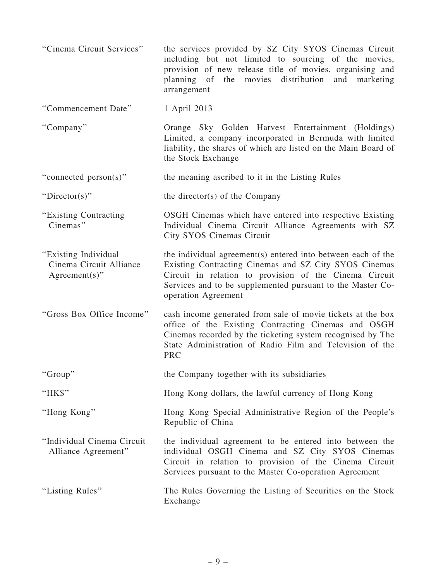| "Cinema Circuit Services"                                            | the services provided by SZ City SYOS Cinemas Circuit<br>including but not limited to sourcing of the movies,<br>provision of new release title of movies, organising and<br>and<br>planning of the movies distribution<br>marketing<br>arrangement                  |
|----------------------------------------------------------------------|----------------------------------------------------------------------------------------------------------------------------------------------------------------------------------------------------------------------------------------------------------------------|
| "Commencement Date"                                                  | 1 April 2013                                                                                                                                                                                                                                                         |
| "Company"                                                            | Orange Sky Golden Harvest Entertainment (Holdings)<br>Limited, a company incorporated in Bermuda with limited<br>liability, the shares of which are listed on the Main Board of<br>the Stock Exchange                                                                |
| "connected person(s)"                                                | the meaning ascribed to it in the Listing Rules                                                                                                                                                                                                                      |
| "Director(s)"                                                        | the director(s) of the Company                                                                                                                                                                                                                                       |
| "Existing Contracting<br>Cinemas"                                    | OSGH Cinemas which have entered into respective Existing<br>Individual Cinema Circuit Alliance Agreements with SZ<br>City SYOS Cinemas Circuit                                                                                                                       |
| "Existing Individual"<br>Cinema Circuit Alliance<br>$Agreement(s)$ " | the individual agreement(s) entered into between each of the<br>Existing Contracting Cinemas and SZ City SYOS Cinemas<br>Circuit in relation to provision of the Cinema Circuit<br>Services and to be supplemented pursuant to the Master Co-<br>operation Agreement |
| "Gross Box Office Income"                                            | cash income generated from sale of movie tickets at the box<br>office of the Existing Contracting Cinemas and OSGH<br>Cinemas recorded by the ticketing system recognised by The<br>State Administration of Radio Film and Television of the<br><b>PRC</b>           |
| "Group"                                                              | the Company together with its subsidiaries                                                                                                                                                                                                                           |
| "HK\$"                                                               | Hong Kong dollars, the lawful currency of Hong Kong                                                                                                                                                                                                                  |
| "Hong Kong"                                                          | Hong Kong Special Administrative Region of the People's<br>Republic of China                                                                                                                                                                                         |
| "Individual Cinema Circuit<br>Alliance Agreement"                    | the individual agreement to be entered into between the<br>individual OSGH Cinema and SZ City SYOS Cinemas<br>Circuit in relation to provision of the Cinema Circuit<br>Services pursuant to the Master Co-operation Agreement                                       |
| "Listing Rules"                                                      | The Rules Governing the Listing of Securities on the Stock<br>Exchange                                                                                                                                                                                               |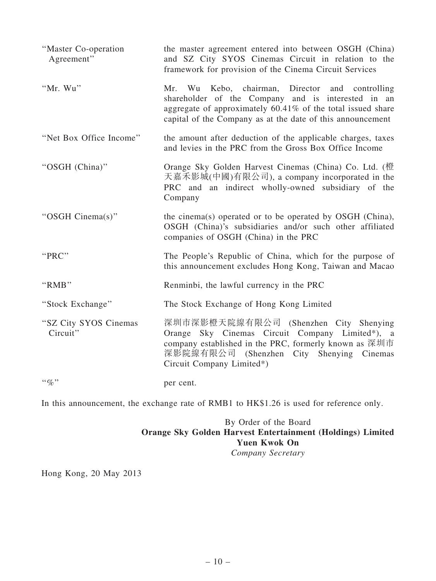| "Master Co-operation"<br>Agreement" | the master agreement entered into between OSGH (China)<br>and SZ City SYOS Cinemas Circuit in relation to the<br>framework for provision of the Cinema Circuit Services                                                               |
|-------------------------------------|---------------------------------------------------------------------------------------------------------------------------------------------------------------------------------------------------------------------------------------|
| "Mr. Wu"                            | Mr. Wu Kebo, chairman,<br>Director and controlling<br>shareholder of the Company and is interested in an<br>aggregate of approximately 60.41% of the total issued share<br>capital of the Company as at the date of this announcement |
| "Net Box Office Income"             | the amount after deduction of the applicable charges, taxes<br>and levies in the PRC from the Gross Box Office Income                                                                                                                 |
| "OSGH (China)"                      | Orange Sky Golden Harvest Cinemas (China) Co. Ltd. (橙<br>天嘉禾影城(中國)有限公司), a company incorporated in the<br>PRC and an indirect wholly-owned subsidiary of the<br>Company                                                               |
| "OSGH Cinema(s)"                    | the cinema(s) operated or to be operated by OSGH (China),<br>OSGH (China)'s subsidiaries and/or such other affiliated<br>companies of OSGH (China) in the PRC                                                                         |
| "PRC"                               | The People's Republic of China, which for the purpose of<br>this announcement excludes Hong Kong, Taiwan and Macao                                                                                                                    |
| "RMB"                               | Renminbi, the lawful currency in the PRC                                                                                                                                                                                              |
| "Stock Exchange"                    | The Stock Exchange of Hong Kong Limited                                                                                                                                                                                               |
| "SZ City SYOS Cinemas<br>Circuit"   | 深圳市深影橙天院線有限公司 (Shenzhen City Shenying<br>Orange Sky Cinemas Circuit Company Limited*), a<br>company established in the PRC, formerly known as 深圳市<br>深影院線有限公司 (Shenzhen City Shenying Cinemas<br>Circuit Company Limited*)            |
| $\lq\lq q_0$ "                      | per cent.                                                                                                                                                                                                                             |

In this announcement, the exchange rate of RMB1 to HK\$1.26 is used for reference only.

## By Order of the Board Orange Sky Golden Harvest Entertainment (Holdings) Limited Yuen Kwok On *Company Secretary*

Hong Kong, 20 May 2013